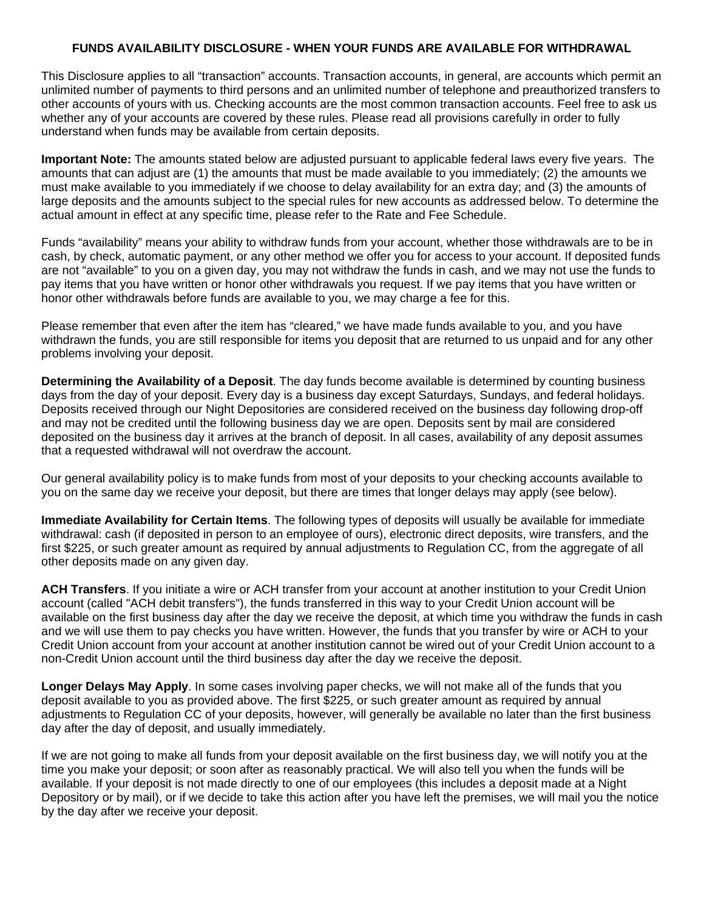## **FUNDS AVAILABILITY DISCLOSURE - WHEN YOUR FUNDS ARE AVAILABLE FOR WITHDRAWAL**

This Disclosure applies to all "transaction" accounts. Transaction accounts, in general, are accounts which permit an unlimited number of payments to third persons and an unlimited number of telephone and preauthorized transfers to other accounts of yours with us. Checking accounts are the most common transaction accounts. Feel free to ask us whether any of your accounts are covered by these rules. Please read all provisions carefully in order to fully understand when funds may be available from certain deposits.

**Important Note:** The amounts stated below are adjusted pursuant to applicable federal laws every five years. The amounts that can adjust are (1) the amounts that must be made available to you immediately; (2) the amounts we must make available to you immediately if we choose to delay availability for an extra day; and (3) the amounts of large deposits and the amounts subject to the special rules for new accounts as addressed below. To determine the actual amount in effect at any specific time, please refer to the Rate and Fee Schedule.

Funds "availability" means your ability to withdraw funds from your account, whether those withdrawals are to be in cash, by check, automatic payment, or any other method we offer you for access to your account. If deposited funds are not "available" to you on a given day, you may not withdraw the funds in cash, and we may not use the funds to pay items that you have written or honor other withdrawals you request. If we pay items that you have written or honor other withdrawals before funds are available to you, we may charge a fee for this.

Please remember that even after the item has "cleared," we have made funds available to you, and you have withdrawn the funds, you are still responsible for items you deposit that are returned to us unpaid and for any other problems involving your deposit.

**Determining the Availability of a Deposit**. The day funds become available is determined by counting business days from the day of your deposit. Every day is a business day except Saturdays, Sundays, and federal holidays. Deposits received through our Night Depositories are considered received on the business day following drop-off and may not be credited until the following business day we are open. Deposits sent by mail are considered deposited on the business day it arrives at the branch of deposit. In all cases, availability of any deposit assumes that a requested withdrawal will not overdraw the account.

Our general availability policy is to make funds from most of your deposits to your checking accounts available to you on the same day we receive your deposit, but there are times that longer delays may apply (see below).

**Immediate Availability for Certain Items**. The following types of deposits will usually be available for immediate withdrawal: cash (if deposited in person to an employee of ours), electronic direct deposits, wire transfers, and the first \$225, or such greater amount as required by annual adjustments to Regulation CC, from the aggregate of all other deposits made on any given day.

**ACH Transfers**. If you initiate a wire or ACH transfer from your account at another institution to your Credit Union account (called "ACH debit transfers"), the funds transferred in this way to your Credit Union account will be available on the first business day after the day we receive the deposit, at which time you withdraw the funds in cash and we will use them to pay checks you have written. However, the funds that you transfer by wire or ACH to your Credit Union account from your account at another institution cannot be wired out of your Credit Union account to a non-Credit Union account until the third business day after the day we receive the deposit.

**Longer Delays May Apply**. In some cases involving paper checks, we will not make all of the funds that you deposit available to you as provided above. The first \$225, or such greater amount as required by annual adjustments to Regulation CC of your deposits, however, will generally be available no later than the first business day after the day of deposit, and usually immediately.

If we are not going to make all funds from your deposit available on the first business day, we will notify you at the time you make your deposit; or soon after as reasonably practical. We will also tell you when the funds will be available. If your deposit is not made directly to one of our employees (this includes a deposit made at a Night Depository or by mail), or if we decide to take this action after you have left the premises, we will mail you the notice by the day after we receive your deposit.